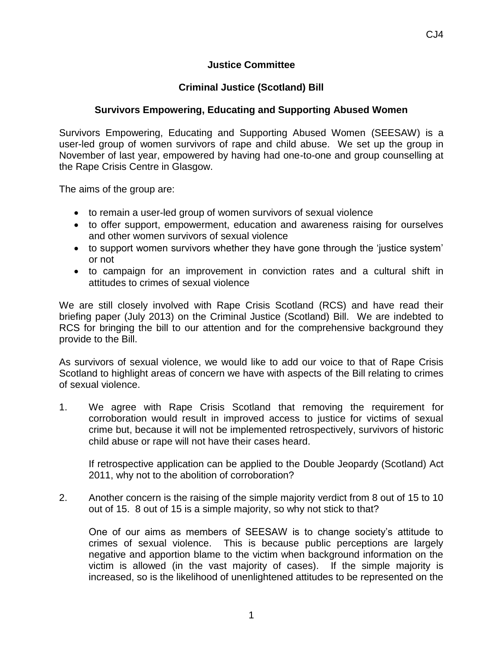## **Justice Committee**

## **Criminal Justice (Scotland) Bill**

## **Survivors Empowering, Educating and Supporting Abused Women**

Survivors Empowering, Educating and Supporting Abused Women (SEESAW) is a user-led group of women survivors of rape and child abuse. We set up the group in November of last year, empowered by having had one-to-one and group counselling at the Rape Crisis Centre in Glasgow.

The aims of the group are:

- to remain a user-led group of women survivors of sexual violence
- to offer support, empowerment, education and awareness raising for ourselves and other women survivors of sexual violence
- to support women survivors whether they have gone through the 'justice system' or not
- to campaign for an improvement in conviction rates and a cultural shift in attitudes to crimes of sexual violence

We are still closely involved with Rape Crisis Scotland (RCS) and have read their briefing paper (July 2013) on the Criminal Justice (Scotland) Bill. We are indebted to RCS for bringing the bill to our attention and for the comprehensive background they provide to the Bill.

As survivors of sexual violence, we would like to add our voice to that of Rape Crisis Scotland to highlight areas of concern we have with aspects of the Bill relating to crimes of sexual violence.

1. We agree with Rape Crisis Scotland that removing the requirement for corroboration would result in improved access to justice for victims of sexual crime but, because it will not be implemented retrospectively, survivors of historic child abuse or rape will not have their cases heard.

If retrospective application can be applied to the Double Jeopardy (Scotland) Act 2011, why not to the abolition of corroboration?

2. Another concern is the raising of the simple majority verdict from 8 out of 15 to 10 out of 15. 8 out of 15 is a simple majority, so why not stick to that?

One of our aims as members of SEESAW is to change society's attitude to crimes of sexual violence. This is because public perceptions are largely negative and apportion blame to the victim when background information on the victim is allowed (in the vast majority of cases). If the simple majority is increased, so is the likelihood of unenlightened attitudes to be represented on the